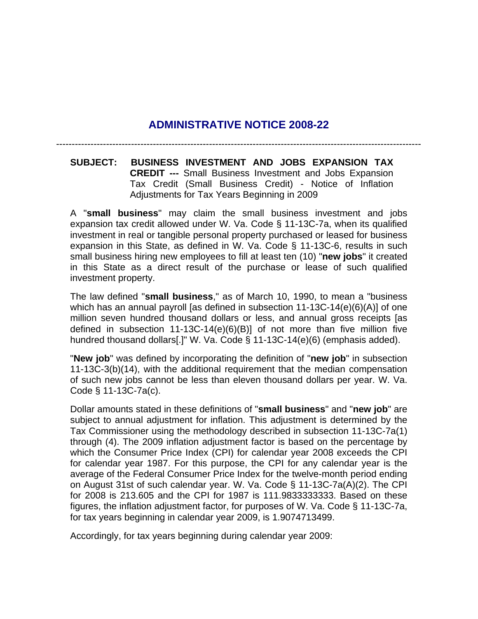## **ADMINISTRATIVE NOTICE 2008-22**

---------------------------------------------------------------------------------------------------------------------

**SUBJECT: BUSINESS INVESTMENT AND JOBS EXPANSION TAX CREDIT ---** Small Business Investment and Jobs Expansion Tax Credit (Small Business Credit) - Notice of Inflation Adjustments for Tax Years Beginning in 2009

A "**small business**" may claim the small business investment and jobs expansion tax credit allowed under W. Va. Code § 11-13C-7a, when its qualified investment in real or tangible personal property purchased or leased for business expansion in this State, as defined in W. Va. Code § 11-13C-6, results in such small business hiring new employees to fill at least ten (10) "**new jobs**" it created in this State as a direct result of the purchase or lease of such qualified investment property.

The law defined "**small business**," as of March 10, 1990, to mean a "business which has an annual payroll [as defined in subsection 11-13C-14(e)(6)(A)] of one million seven hundred thousand dollars or less, and annual gross receipts [as defined in subsection 11-13C-14(e)(6)(B)] of not more than five million five hundred thousand dollars[.]" W. Va. Code § 11-13C-14(e)(6) (emphasis added).

"**New job**" was defined by incorporating the definition of "**new job**" in subsection 11-13C-3(b)(14), with the additional requirement that the median compensation of such new jobs cannot be less than eleven thousand dollars per year. W. Va. Code § 11-13C-7a(c).

Dollar amounts stated in these definitions of "**small business**" and "**new job**" are subject to annual adjustment for inflation. This adjustment is determined by the Tax Commissioner using the methodology described in subsection 11-13C-7a(1) through (4). The 2009 inflation adjustment factor is based on the percentage by which the Consumer Price Index (CPI) for calendar year 2008 exceeds the CPI for calendar year 1987. For this purpose, the CPI for any calendar year is the average of the Federal Consumer Price Index for the twelve-month period ending on August 31st of such calendar year. W. Va. Code § 11-13C-7a(A)(2). The CPI for 2008 is 213.605 and the CPI for 1987 is 111.9833333333. Based on these figures, the inflation adjustment factor, for purposes of W. Va. Code § 11-13C-7a, for tax years beginning in calendar year 2009, is 1.9074713499.

Accordingly, for tax years beginning during calendar year 2009: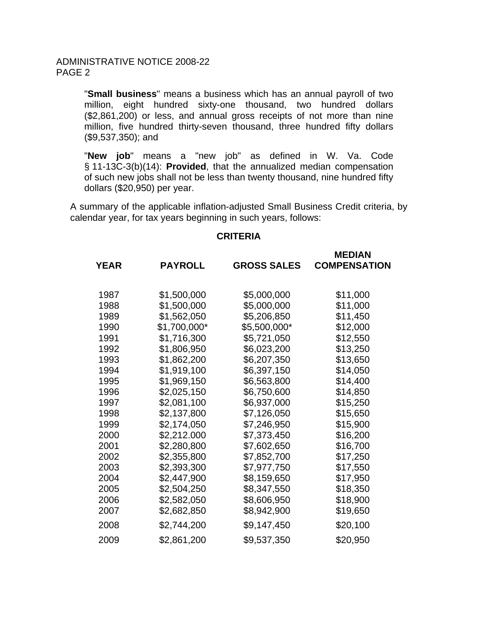"**Small business**" means a business which has an annual payroll of two million, eight hundred sixty-one thousand, two hundred dollars (\$2,861,200) or less, and annual gross receipts of not more than nine million, five hundred thirty-seven thousand, three hundred fifty dollars (\$9,537,350); and

"**New job**" means a "new job" as defined in W. Va. Code § 11-13C-3(b)(14): **Provided**, that the annualized median compensation of such new jobs shall not be less than twenty thousand, nine hundred fifty dollars (\$20,950) per year.

A summary of the applicable inflation-adjusted Small Business Credit criteria, by calendar year, for tax years beginning in such years, follows:

## **CRITERIA**

| <b>YEAR</b> | <b>PAYROLL</b> | <b>GROSS SALES</b> | <b>MEDIAN</b><br><b>COMPENSATION</b> |
|-------------|----------------|--------------------|--------------------------------------|
| 1987        | \$1,500,000    | \$5,000,000        | \$11,000                             |
| 1988        | \$1,500,000    | \$5,000,000        | \$11,000                             |
| 1989        | \$1,562,050    | \$5,206,850        | \$11,450                             |
| 1990        | \$1,700,000*   | \$5,500,000*       | \$12,000                             |
| 1991        | \$1,716,300    | \$5,721,050        | \$12,550                             |
| 1992        | \$1,806,950    | \$6,023,200        | \$13,250                             |
| 1993        | \$1,862,200    | \$6,207,350        | \$13,650                             |
| 1994        | \$1,919,100    | \$6,397,150        | \$14,050                             |
| 1995        | \$1,969,150    | \$6,563,800        | \$14,400                             |
| 1996        | \$2,025,150    | \$6,750,600        | \$14,850                             |
| 1997        | \$2,081,100    | \$6,937,000        | \$15,250                             |
| 1998        | \$2,137,800    | \$7,126,050        | \$15,650                             |
| 1999        | \$2,174,050    | \$7,246,950        | \$15,900                             |
| 2000        | \$2,212.000    | \$7,373,450        | \$16,200                             |
| 2001        | \$2,280,800    | \$7,602,650        | \$16,700                             |
| 2002        | \$2,355,800    | \$7,852,700        | \$17,250                             |
| 2003        | \$2,393,300    | \$7,977,750        | \$17,550                             |
| 2004        | \$2,447,900    | \$8,159,650        | \$17,950                             |
| 2005        | \$2,504,250    | \$8,347,550        | \$18,350                             |
| 2006        | \$2,582,050    | \$8,606,950        | \$18,900                             |
| 2007        | \$2,682,850    | \$8,942,900        | \$19,650                             |
| 2008        | \$2,744,200    | \$9,147,450        | \$20,100                             |
| 2009        | \$2,861,200    | \$9,537,350        | \$20,950                             |